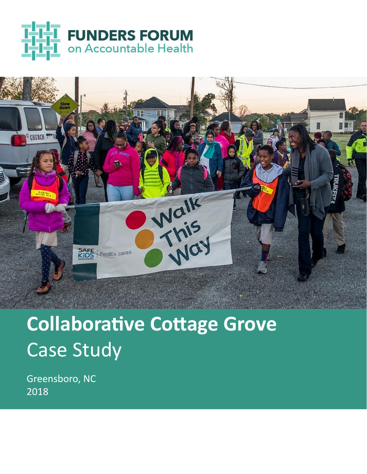



## **Collaborative Cottage Grove**  Case Study

Greensboro, NC 2018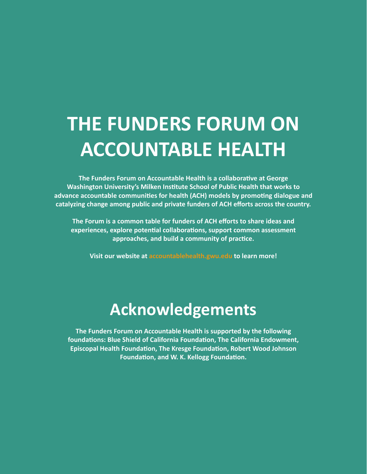### **THE FUNDERS FORUM ON ACCOUNTABLE HEALTH**

**The Funders Forum on Accountable Health is a collaborative at George Washington University's Milken Institute School of Public Health that works to advance accountable communities for health (ACH) models by promoting dialogue and catalyzing change among public and private funders of ACH efforts across the country.** 

**The Forum is a common table for funders of ACH efforts to share ideas and experiences, explore potential collaborations, support common assessment approaches, and build a community of practice.** 

**Visit our website at accountablehealth.gwu.edu to learn more!**

### **Acknowledgements**

**The Funders Forum on Accountable Health is supported by the following foundations: Blue Shield of California Foundation, The California Endowment, Episcopal Health Foundation, The Kresge Foundation, Robert Wood Johnson Foundation, and W. K. Kellogg Foundation.**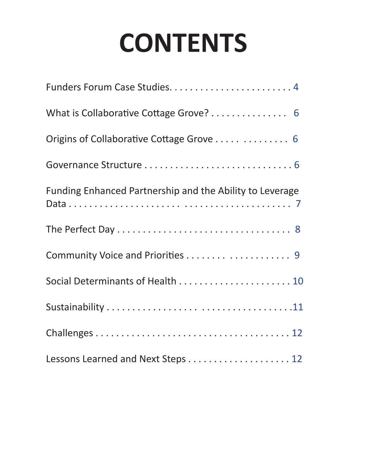## **CONTENTS**

| What is Collaborative Cottage Grove? 6                   |
|----------------------------------------------------------|
|                                                          |
|                                                          |
| Funding Enhanced Partnership and the Ability to Leverage |
|                                                          |
|                                                          |
|                                                          |
|                                                          |
|                                                          |
| Lessons Learned and Next Steps 12                        |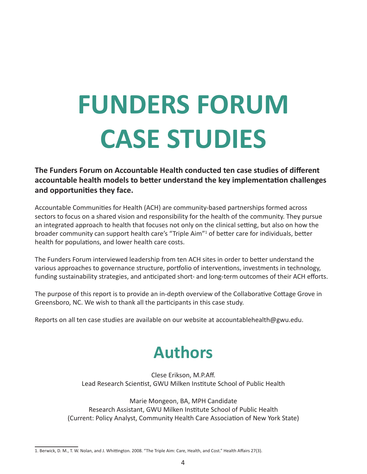# **FUNDERS FORUM CASE STUDIES**

**The Funders Forum on Accountable Health conducted ten case studies of different accountable health models to better understand the key implementation challenges and opportunities they face.** 

Accountable Communities for Health (ACH) are community-based partnerships formed across sectors to focus on a shared vision and responsibility for the health of the community. They pursue an integrated approach to health that focuses not only on the clinical setting, but also on how the broader community can support health care's "Triple Aim"<sup>1</sup> of better care for individuals, better health for populations, and lower health care costs.

The Funders Forum interviewed leadership from ten ACH sites in order to better understand the various approaches to governance structure, portfolio of interventions, investments in technology, funding sustainability strategies, and anticipated short- and long-term outcomes of their ACH efforts.

The purpose of this report is to provide an in-depth overview of the Collaborative Cottage Grove in Greensboro, NC. We wish to thank all the participants in this case study.

Reports on all ten case studies are available on our website at accountablehealth@gwu.edu.

### **Authors**

Clese Erikson, M.P.Aff. Lead Research Scientist, GWU Milken Institute School of Public Health

Marie Mongeon, BA, MPH Candidate Research Assistant, GWU Milken Institute School of Public Health (Current: Policy Analyst, Community Health Care Association of New York State)

<sup>1.</sup> Berwick, D. M., T. W. Nolan, and J. Whittington. 2008. "The Triple Aim: Care, Health, and Cost." Health Affairs 27(3).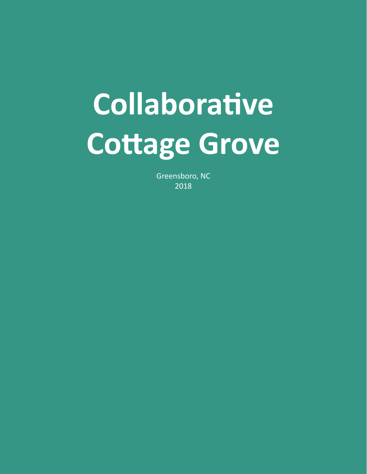# **Collaborative Cottage Grove**

Greensboro, NC 2018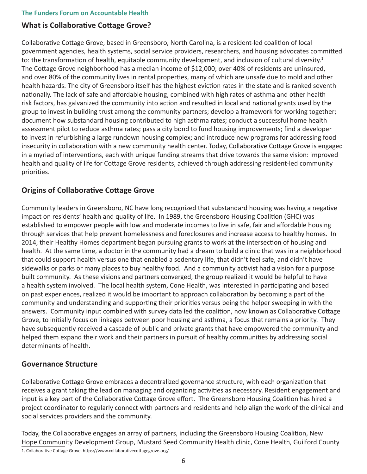#### **What is Collaborative Cottage Grove?**

Collaborative Cottage Grove, based in Greensboro, North Carolina, is a resident-led coalition of local government agencies, health systems, social service providers, researchers, and housing advocates committed to: the transformation of health, equitable community development, and inclusion of cultural diversity.<sup>1</sup> The Cottage Grove neighborhood has a median income of \$12,000; over 40% of residents are uninsured, and over 80% of the community lives in rental properties, many of which are unsafe due to mold and other health hazards. The city of Greensboro itself has the highest eviction rates in the state and is ranked seventh nationally. The lack of safe and affordable housing, combined with high rates of asthma and other health risk factors, has galvanized the community into action and resulted in local and national grants used by the group to invest in building trust among the community partners; develop a framework for working together; document how substandard housing contributed to high asthma rates; conduct a successful home health assessment pilot to reduce asthma rates; pass a city bond to fund housing improvements; find a developer to invest in refurbishing a large rundown housing complex; and introduce new programs for addressing food insecurity in collaboration with a new community health center. Today, Collaborative Cottage Grove is engaged in a myriad of interventions, each with unique funding streams that drive towards the same vision: improved health and quality of life for Cottage Grove residents, achieved through addressing resident-led community priorities.

#### **Origins of Collaborative Cottage Grove**

Community leaders in Greensboro, NC have long recognized that substandard housing was having a negative impact on residents' health and quality of life. In 1989, the Greensboro Housing Coalition (GHC) was established to empower people with low and moderate incomes to live in safe, fair and affordable housing through services that help prevent homelessness and foreclosures and increase access to healthy homes. In 2014, their Healthy Homes department began pursuing grants to work at the intersection of housing and health. At the same time, a doctor in the community had a dream to build a clinic that was in a neighborhood that could support health versus one that enabled a sedentary life, that didn't feel safe, and didn't have sidewalks or parks or many places to buy healthy food. And a community activist had a vision for a purpose built community. As these visions and partners converged, the group realized it would be helpful to have a health system involved. The local health system, Cone Health, was interested in participating and based on past experiences, realized it would be important to approach collaboration by becoming a part of the community and understanding and supporting their priorities versus being the helper sweeping in with the answers. Community input combined with survey data led the coalition, now known as Collaborative Cottage Grove, to initially focus on linkages between poor housing and asthma, a focus that remains a priority. They have subsequently received a cascade of public and private grants that have empowered the community and helped them expand their work and their partners in pursuit of healthy communities by addressing social determinants of health.

#### **Governance Structure**

Collaborative Cottage Grove embraces a decentralized governance structure, with each organization that receives a grant taking the lead on managing and organizing activities as necessary. Resident engagement and input is a key part of the Collaborative Cottage Grove effort. The Greensboro Housing Coalition has hired a project coordinator to regularly connect with partners and residents and help align the work of the clinical and social services providers and the community.

Today, the Collaborative engages an array of partners, including the Greensboro Housing Coalition, New Hope Community Development Group, Mustard Seed Community Health clinic, Cone Health, Guilford County

1. Collaborative Cottage Grove. https://www.collaborativecottagegrove.org/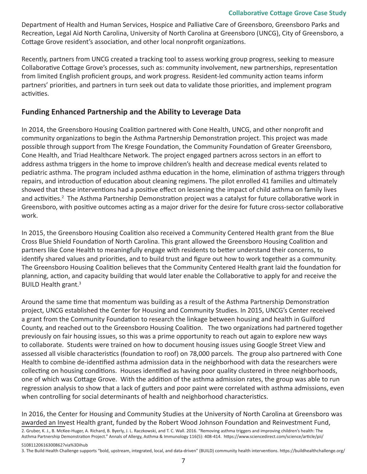#### **Collaborative Cottage Grove Case Study**

Department of Health and Human Services, Hospice and Palliative Care of Greensboro, Greensboro Parks and Recreation, Legal Aid North Carolina, University of North Carolina at Greensboro (UNCG), City of Greensboro, a Cottage Grove resident's association, and other local nonprofit organizations.

Recently, partners from UNCG created a tracking tool to assess working group progress, seeking to measure Collaborative Cottage Grove's processes, such as: community involvement, new partnerships, representation from limited English proficient groups, and work progress. Resident-led community action teams inform partners' priorities, and partners in turn seek out data to validate those priorities, and implement program activities.

#### **Funding Enhanced Partnership and the Ability to Leverage Data**

In 2014, the Greensboro Housing Coalition partnered with Cone Health, UNCG, and other nonprofit and community organizations to begin the Asthma Partnership Demonstration project. This project was made possible through support from The Kresge Foundation, the Community Foundation of Greater Greensboro, Cone Health, and Triad Healthcare Network. The project engaged partners across sectors in an effort to address asthma triggers in the home to improve children's health and decrease medical events related to pediatric asthma. The program included asthma education in the home, elimination of asthma triggers through repairs, and introduction of education about cleaning regimens. The pilot enrolled 41 families and ultimately showed that these interventions had a positive effect on lessening the impact of child asthma on family lives and activities.<sup>2</sup> The Asthma Partnership Demonstration project was a catalyst for future collaborative work in Greensboro, with positive outcomes acting as a major driver for the desire for future cross-sector collaborative work.

In 2015, the Greensboro Housing Coalition also received a Community Centered Health grant from the Blue Cross Blue Shield Foundation of North Carolina. This grant allowed the Greensboro Housing Coalition and partners like Cone Health to meaningfully engage with residents to better understand their concerns, to identify shared values and priorities, and to build trust and figure out how to work together as a community. The Greensboro Housing Coalition believes that the Community Centered Health grant laid the foundation for planning, action, and capacity building that would later enable the Collaborative to apply for and receive the BUILD Health grant.3

Around the same time that momentum was building as a result of the Asthma Partnership Demonstration project, UNCG established the Center for Housing and Community Studies. In 2015, UNCG's Center received a grant from the Community Foundation to research the linkage between housing and health in Guilford County, and reached out to the Greensboro Housing Coalition. The two organizations had partnered together previously on fair housing issues, so this was a prime opportunity to reach out again to explore new ways to collaborate. Students were trained on how to document housing issues using Google Street View and assessed all visible characteristics (foundation to roof) on 78,000 parcels. The group also partnered with Cone Health to combine de-identified asthma admission data in the neighborhood with data the researchers were collecting on housing conditions. Houses identified as having poor quality clustered in three neighborhoods, one of which was Cottage Grove. With the addition of the asthma admission rates, the group was able to run regression analysis to show that a lack of gutters and poor paint were correlated with asthma admissions, even when controlling for social determinants of health and neighborhood characteristics.

In 2016, the Center for Housing and Community Studies at the University of North Carolina at Greensboro was awarded an Invest Health grant, funded by the Robert Wood Johnson Foundation and Reinvestment Fund,

2. Gruber, K. J., B. McKee-Huger, A. Richard, B. Byerly, J. L. Raczkowski, and T. C. Wall. 2016. "Removing asthma triggers and improving children's health: The Asthma Partnership Demonstration Project." Annals of Allergy, Asthma & Immunology 116(5): 408-414. https://www.sciencedirect.com/science/article/pii/

S1081120616300862?via%3Dihub 3. The Build Health Challenge supports "bold, upstream, integrated, local, and data-driven" (BUILD) community health interventions. https://buildhealthchallenge.org/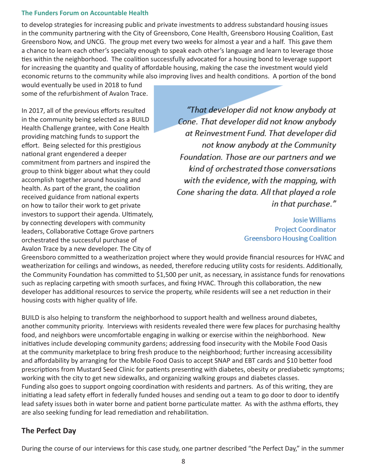to develop strategies for increasing public and private investments to address substandard housing issues in the community partnering with the City of Greensboro, Cone Health, Greensboro Housing Coalition, East Greensboro Now, and UNCG. The group met every two weeks for almost a year and a half. This gave them a chance to learn each other's specialty enough to speak each other's language and learn to leverage those ties within the neighborhood. The coalition successfully advocated for a housing bond to leverage support for increasing the quantity and quality of affordable housing, making the case the investment would yield economic returns to the community while also improving lives and health conditions. A portion of the bond

would eventually be used in 2018 to fund some of the refurbishment of Avalon Trace.

In 2017, all of the previous efforts resulted in the community being selected as a BUILD Health Challenge grantee, with Cone Health providing matching funds to support the effort. Being selected for this prestigious national grant engendered a deeper commitment from partners and inspired the group to think bigger about what they could accomplish together around housing and health. As part of the grant, the coalition received guidance from national experts on how to tailor their work to get private investors to support their agenda. Ultimately, by connecting developers with community leaders, Collaborative Cottage Grove partners orchestrated the successful purchase of Avalon Trace by a new developer. The City of

"That developer did not know anybody at Cone. That developer did not know anybody at Reinvestment Fund. That developer did not know anybody at the Community Foundation. Those are our partners and we kind of orchestrated those conversations with the evidence, with the mapping, with Cone sharing the data. All that played a role in that purchase."

> **Josie Williams Project Coordinator Greensboro Housing Coalition**

Greensboro committed to a weatherization project where they would provide financial resources for HVAC and weatherization for ceilings and windows, as needed, therefore reducing utility costs for residents. Additionally, the Community Foundation has committed to \$1,500 per unit, as necessary, in assistance funds for renovations such as replacing carpeting with smooth surfaces, and fixing HVAC. Through this collaboration, the new developer has additional resources to service the property, while residents will see a net reduction in their housing costs with higher quality of life.

BUILD is also helping to transform the neighborhood to support health and wellness around diabetes, another community priority. Interviews with residents revealed there were few places for purchasing healthy food, and neighbors were uncomfortable engaging in walking or exercise within the neighborhood. New initiatives include developing community gardens; addressing food insecurity with the Mobile Food Oasis at the community marketplace to bring fresh produce to the neighborhood; further increasing accessibility and affordability by arranging for the Mobile Food Oasis to accept SNAP and EBT cards and \$10 better food prescriptions from Mustard Seed Clinic for patients presenting with diabetes, obesity or prediabetic symptoms; working with the city to get new sidewalks, and organizing walking groups and diabetes classes. Funding also goes to support ongoing coordination with residents and partners. As of this writing, they are initiating a lead safety effort in federally funded houses and sending out a team to go door to door to identify lead safety issues both in water borne and patient borne particulate matter. As with the asthma efforts, they are also seeking funding for lead remediation and rehabilitation.

#### **The Perfect Day**

During the course of our interviews for this case study, one partner described "the Perfect Day," in the summer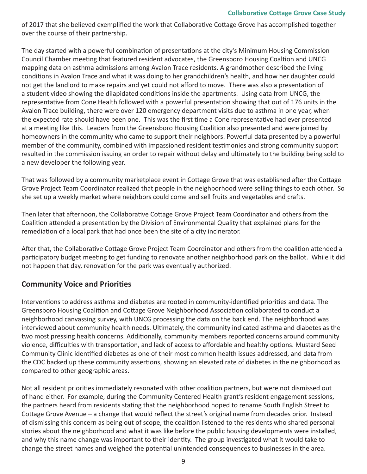of 2017 that she believed exemplified the work that Collaborative Cottage Grove has accomplished together over the course of their partnership.

The day started with a powerful combination of presentations at the city's Minimum Housing Commission Council Chamber meeting that featured resident advocates, the Greensboro Housing Coaltion and UNCG mapping data on asthma admissions among Avalon Trace residents. A grandmother described the living conditions in Avalon Trace and what it was doing to her grandchildren's health, and how her daughter could not get the landlord to make repairs and yet could not afford to move. There was also a presentation of a student video showing the dilapidated conditions inside the apartments. Using data from UNCG, the representative from Cone Health followed with a powerful presentation showing that out of 176 units in the Avalon Trace building, there were over 120 emergency department visits due to asthma in one year, when the expected rate should have been one. This was the first time a Cone representative had ever presented at a meeting like this. Leaders from the Greensboro Housing Coalition also presented and were joined by homeowners in the community who came to support their neighbors. Powerful data presented by a powerful member of the community, combined with impassioned resident testimonies and strong community support resulted in the commission issuing an order to repair without delay and ultimately to the building being sold to a new developer the following year.

That was followed by a community marketplace event in Cottage Grove that was established after the Cottage Grove Project Team Coordinator realized that people in the neighborhood were selling things to each other. So she set up a weekly market where neighbors could come and sell fruits and vegetables and crafts.

Then later that afternoon, the Collaborative Cottage Grove Project Team Coordinator and others from the Coalition attended a presentation by the Division of Environmental Quality that explained plans for the remediation of a local park that had once been the site of a city incinerator.

After that, the Collaborative Cottage Grove Project Team Coordinator and others from the coalition attended a participatory budget meeting to get funding to renovate another neighborhood park on the ballot. While it did not happen that day, renovation for the park was eventually authorized.

#### **Community Voice and Priorities**

Interventions to address asthma and diabetes are rooted in community-identified priorities and data. The Greensboro Housing Coalition and Cottage Grove Neighborhood Association collaborated to conduct a neighborhood canvassing survey, with UNCG processing the data on the back end. The neighborhood was interviewed about community health needs. Ultimately, the community indicated asthma and diabetes as the two most pressing health concerns. Additionally, community members reported concerns around community violence, difficulties with transportation, and lack of access to affordable and healthy options. Mustard Seed Community Clinic identified diabetes as one of their most common health issues addressed, and data from the CDC backed up these community assertions, showing an elevated rate of diabetes in the neighborhood as compared to other geographic areas.

Not all resident priorities immediately resonated with other coalition partners, but were not dismissed out of hand either. For example, during the Community Centered Health grant's resident engagement sessions, the partners heard from residents stating that the neighborhood hoped to rename South English Street to Cottage Grove Avenue – a change that would reflect the street's original name from decades prior. Instead of dismissing this concern as being out of scope, the coalition listened to the residents who shared personal stories about the neighborhood and what it was like before the public housing developments were installed, and why this name change was important to their identity. The group investigated what it would take to change the street names and weighed the potential unintended consequences to businesses in the area.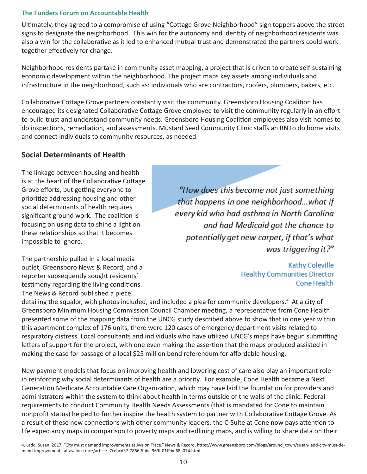Ultimately, they agreed to a compromise of using "Cottage Grove Neighborhood" sign toppers above the street signs to designate the neighborhood. This win for the autonomy and identity of neighborhood residents was also a win for the collaborative as it led to enhanced mutual trust and demonstrated the partners could work together effectively for change.

Neighborhood residents partake in community asset mapping, a project that is driven to create self-sustaining economic development within the neighborhood. The project maps key assets among individuals and infrastructure in the neighborhood, such as: individuals who are contractors, roofers, plumbers, bakers, etc.

Collaborative Cottage Grove partners constantly visit the community. Greensboro Housing Coalition has encouraged its designated Collaborative Cottage Grove employee to visit the community regularly in an effort to build trust and understand community needs. Greensboro Housing Coalition employees also visit homes to do inspections, remediation, and assessments. Mustard Seed Community Clinic staffs an RN to do home visits and connect individuals to community resources, as needed.

#### **Social Determinants of Health**

The linkage between housing and health is at the heart of the Collaborative Cottage Grove efforts, but getting everyone to prioritize addressing housing and other social determinants of health requires significant ground work. The coalition is focusing on using data to shine a light on these relationships so that it becomes impossible to ignore.

The partnership pulled in a local media outlet, Greensboro News & Record, and a reporter subsequently sought residents' testimony regarding the living conditions. The News & Record published a piece

"How does this become not just something that happens in one neighborhood...what if every kid who had asthma in North Carolina and had Medicaid got the chance to potentially get new carpet, if that's what was triggering it?"

> **Kathy Coleville Healthy Communities Director Cone Health**

detailing the squalor, with photos included, and included a plea for community developers.<sup>4</sup> At a city of Greensboro Minimum Housing Commission Council Chamber meeting, a representative from Cone Health presented some of the mapping data from the UNCG study described above to show that in one year within this apartment complex of 176 units, there were 120 cases of emergency department visits related to respiratory distress. Local consultants and individuals who have utilized UNCG's maps have begun submitting letters of support for the project, with one even making the assertion that the maps produced assisted in making the case for passage of a local \$25 million bond referendum for affordable housing.

New payment models that focus on improving health and lowering cost of care also play an important role in reinforcing why social determinants of health are a priority. For example, Cone Health became a Next Generation Medicare Accountable Care Organization, which may have laid the foundation for providers and administrators within the system to think about health in terms outside of the walls of the clinic. Federal requirements to conduct Community Health Needs Assessments (that is mandated for Cone to maintain nonprofit status) helped to further inspire the health system to partner with Collaborative Cottage Grove. As a result of these new connections with other community leaders, the C-Suite at Cone now pays attention to life expectancy maps in comparison to poverty maps and redlining maps, and is willing to share data on their

<sup>4.</sup> Ladd, Susan. 2017. "City must demand improvements at Avalon Trace." News & Record. https://www.greensboro.com/blogs/around\_town/susan-ladd-city-must-demand-improvements-at-avalon-trace/article\_7cebcd37-7866-5bbc-969f-01f9be68a074.html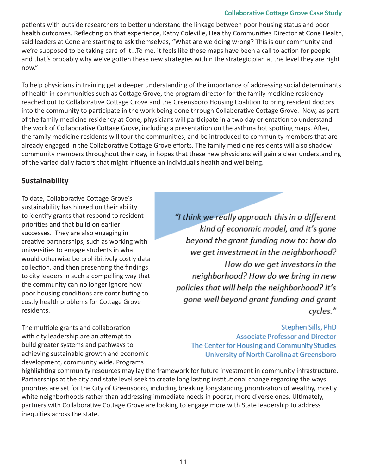#### **Collaborative Cottage Grove Case Study**

patients with outside researchers to better understand the linkage between poor housing status and poor health outcomes. Reflecting on that experience, Kathy Coleville, Healthy Communities Director at Cone Health, said leaders at Cone are starting to ask themselves, "What are we doing wrong? This is our community and we're supposed to be taking care of it...To me, it feels like those maps have been a call to action for people and that's probably why we've gotten these new strategies within the strategic plan at the level they are right now."

To help physicians in training get a deeper understanding of the importance of addressing social determinants of health in communities such as Cottage Grove, the program director for the family medicine residency reached out to Collaborative Cottage Grove and the Greensboro Housing Coalition to bring resident doctors into the community to participate in the work being done through Collaborative Cottage Grove. Now, as part of the family medicine residency at Cone, physicians will participate in a two day orientation to understand the work of Collaborative Cottage Grove, including a presentation on the asthma hot spotting maps. After, the family medicine residents will tour the communities, and be introduced to community members that are already engaged in the Collaborative Cottage Grove efforts. The family medicine residents will also shadow community members throughout their day, in hopes that these new physicians will gain a clear understanding of the varied daily factors that might influence an individual's health and wellbeing.

#### **Sustainability**

To date, Collaborative Cottage Grove's sustainability has hinged on their ability to identify grants that respond to resident priorities and that build on earlier successes. They are also engaging in creative partnerships, such as working with universities to engage students in what would otherwise be prohibitively costly data collection, and then presenting the findings to city leaders in such a compelling way that the community can no longer ignore how poor housing conditions are contributing to costly health problems for Cottage Grove residents.

The multiple grants and collaboration with city leadership are an attempt to build greater systems and pathways to achieving sustainable growth and economic development, community wide. Programs

"I think we really approach this in a different kind of economic model, and it's gone beyond the grant funding now to: how do we get investment in the neighborhood? How do we get investors in the neighborhood? How do we bring in new policies that will help the neighborhood? It's gone well beyond grant funding and grant cycles."

Stephen Sills, PhD **Associate Professor and Director** The Center for Housing and Community Studies University of North Carolina at Greensboro

highlighting community resources may lay the framework for future investment in community infrastructure. Partnerships at the city and state level seek to create long lasting institutional change regarding the ways priorities are set for the City of Greensboro, including breaking longstanding prioritization of wealthy, mostly white neighborhoods rather than addressing immediate needs in poorer, more diverse ones. Ultimately, partners with Collaborative Cottage Grove are looking to engage more with State leadership to address inequities across the state.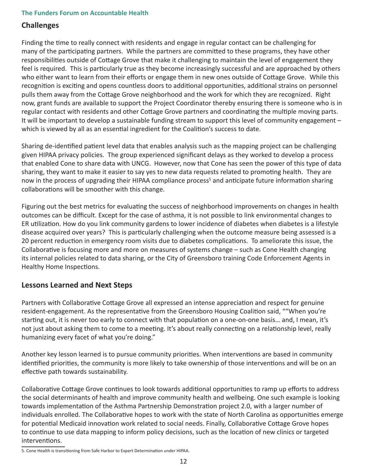#### **Challenges**

Finding the time to really connect with residents and engage in regular contact can be challenging for many of the participating partners. While the partners are committed to these programs, they have other responsibilities outside of Cottage Grove that make it challenging to maintain the level of engagement they feel is required. This is particularly true as they become increasingly successful and are approached by others who either want to learn from their efforts or engage them in new ones outside of Cottage Grove. While this recognition is exciting and opens countless doors to additional opportunities, additional strains on personnel pulls them away from the Cottage Grove neighborhood and the work for which they are recognized. Right now, grant funds are available to support the Project Coordinator thereby ensuring there is someone who is in regular contact with residents and other Cottage Grove partners and coordinating the multiple moving parts. It will be important to develop a sustainable funding stream to support this level of community engagement – which is viewed by all as an essential ingredient for the Coalition's success to date.

Sharing de-identified patient level data that enables analysis such as the mapping project can be challenging given HIPAA privacy policies. The group experienced significant delays as they worked to develop a process that enabled Cone to share data with UNCG. However, now that Cone has seen the power of this type of data sharing, they want to make it easier to say yes to new data requests related to promoting health. They are now in the process of upgrading their HIPAA compliance process<sup>5</sup> and anticipate future information sharing collaborations will be smoother with this change.

Figuring out the best metrics for evaluating the success of neighborhood improvements on changes in health outcomes can be difficult. Except for the case of asthma, it is not possible to link environmental changes to ER utilization. How do you link community gardens to lower incidence of diabetes when diabetes is a lifestyle disease acquired over years? This is particularly challenging when the outcome measure being assessed is a 20 percent reduction in emergency room visits due to diabetes complications. To ameliorate this issue, the Collaborative is focusing more and more on measures of systems change – such as Cone Health changing its internal policies related to data sharing, or the City of Greensboro training Code Enforcement Agents in Healthy Home Inspections.

#### **Lessons Learned and Next Steps**

Partners with Collaborative Cottage Grove all expressed an intense appreciation and respect for genuine resident-engagement. As the representative from the Greensboro Housing Coalition said, ""When you're starting out, it is never too early to connect with that population on a one-on-one basis… and, I mean, it's not just about asking them to come to a meeting. It's about really connecting on a relationship level, really humanizing every facet of what you're doing."

Another key lesson learned is to pursue community priorities. When interventions are based in community identified priorities, the community is more likely to take ownership of those interventions and will be on an effective path towards sustainability.

Collaborative Cottage Grove continues to look towards additional opportunities to ramp up efforts to address the social determinants of health and improve community health and wellbeing. One such example is looking towards implementation of the Asthma Partnership Demonstration project 2.0, with a larger number of individuals enrolled. The Collaborative hopes to work with the state of North Carolina as opportunities emerge for potential Medicaid innovation work related to social needs. Finally, Collaborative Cottage Grove hopes to continue to use data mapping to inform policy decisions, such as the location of new clinics or targeted interventions.

5. Cone Health is transitioning from Safe Harbor to Expert Determination under HIPAA.